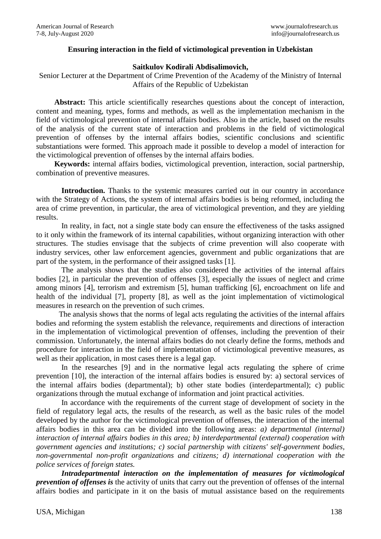## **Ensuring interaction in the field of victimological prevention in Uzbekistan**

## **Saitkulov Kodirali Abdisalimovich,**

Senior Lecturer at the Department of Crime Prevention of the Academy of the Ministry of Internal Affairs of the Republic of Uzbekistan

**Abstract:** This article scientifically researches questions about the concept of interaction, content and meaning, types, forms and methods, as well as the implementation mechanism in the field of victimological prevention of internal affairs bodies. Also in the article, based on the results of the analysis of the current state of interaction and problems in the field of victimological prevention of offenses by the internal affairs bodies, scientific conclusions and scientific substantiations were formed. This approach made it possible to develop a model of interaction for the victimological prevention of offenses by the internal affairs bodies.

**Keywords:** internal affairs bodies, victimological prevention, interaction, social partnership, combination of preventive measures.

Introduction. Thanks to the systemic measures carried out in our country in accordance with the Strategy of Actions, the system of internal affairs bodies is being reformed, including the area of crime prevention, in particular, the area of victimological prevention, and they are yielding results.

In reality, in fact, not a single state body can ensure the effectiveness of the tasks assigned to it only within the framework of its internal capabilities, without organizing interaction with other structures. The studies envisage that the subjects of crime prevention will also cooperate with industry services, other law enforcement agencies, government and public organizations that are part of the system, in the performance of their assigned tasks [1].

The analysis shows that the studies also considered the activities of the internal affairs bodies [2], in particular the prevention of offenses [3], especially the issues of neglect and crime among minors [4], terrorism and extremism [5], human trafficking [6], encroachment on life and health of the individual [7], property [8], as well as the joint implementation of victimological measures in research on the prevention of such crimes.

The analysis shows that the norms of legal acts regulating the activities of the internal affairs bodies and reforming the system establish the relevance, requirements and directions of interaction in the implementation of victimological prevention of offenses, including the prevention of their commission. Unfortunately, the internal affairs bodies do not clearly define the forms, methods and procedure for interaction in the field of implementation of victimological preventive measures, as well as their application, in most cases there is a legal gap.

In the researches [9] and in the normative legal acts regulating the sphere of crime prevention [10], the interaction of the internal affairs bodies is ensured by: a) sectoral services of the internal affairs bodies (departmental); b) other state bodies (interdepartmental); c) public organizations through the mutual exchange of information and joint practical activities.

In accordance with the requirements of the current stage of development of society in the field of regulatory legal acts, the results of the research, as well as the basic rules of the model developed by the author for the victimological prevention of offenses, the interaction of the internal affairs bodies in this area can be divided into the following areas: *a) departmental (internal) interaction of internal affairs bodies in this area; b) interdepartmental (external) cooperation with government agencies and institutions; c) social partnership with citizens' self-government bodies, non-governmental non-profit organizations and citizens; d) international cooperation with the police services of foreign states.*

*Intradepartmental interaction on the implementation of measures for victimological prevention of offenses is* the activity of units that carry out the prevention of offenses of the internal affairs bodies and participate in it on the basis of mutual assistance based on the requirements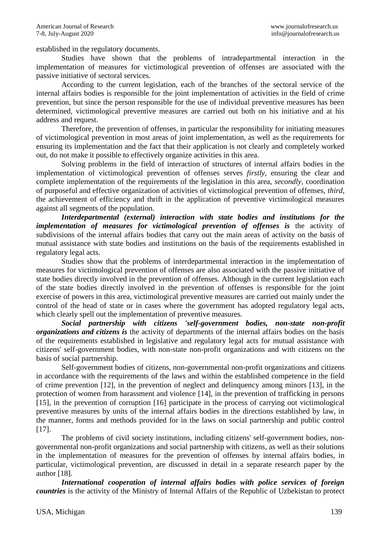established in the regulatory documents.

Studies have shown that the problems of intradepartmental interaction in the implementation of measures for victimological prevention of offenses are associated with the passive initiative of sectoral services.

According to the current legislation, each of the branches of the sectoral service of the internal affairs bodies is responsible for the joint implementation of activities in the field of crime prevention, but since the person responsible for the use of individual preventive measures has been determined, victimological preventive measures are carried out both on his initiative and at his address and request.

Therefore, the prevention of offenses, in particular the responsibility for initiating measures of victimological prevention in most areas of joint implementation, as well as the requirements for ensuring its implementation and the fact that their application is not clearly and completely worked out, do not make it possible to effectively organize activities in this area.

Solving problems in the field of interaction of structures of internal affairs bodies in the implementation of victimological prevention of offenses serves *firstly,* ensuring the clear and complete implementation of the requirements of the legislation in this area, *secondly,* coordination of purposeful and effective organization of activities of victimological prevention of offenses, *third,*  the achievement of efficiency and thrift in the application of preventive victimological measures against all segments of the population.

*Interdepartmental (external) interaction with state bodies and institutions for the implementation of measures for victimological prevention of offenses is the activity of* subdivisions of the internal affairs bodies that carry out the main areas of activity on the basis of mutual assistance with state bodies and institutions on the basis of the requirements established in regulatory legal acts.

Studies show that the problems of interdepartmental interaction in the implementation of measures for victimological prevention of offenses are also associated with the passive initiative of state bodies directly involved in the prevention of offenses. Although in the current legislation each of the state bodies directly involved in the prevention of offenses is responsible for the joint exercise of powers in this area, victimological preventive measures are carried out mainly under the control of the head of state or in cases where the government has adopted regulatory legal acts, which clearly spell out the implementation of preventive measures.

*Social partnership with citizens 'self-government bodies, non-state non-profit organizations and citizens is* the activity of departments of the internal affairs bodies on the basis of the requirements established in legislative and regulatory legal acts for mutual assistance with citizens' self-government bodies, with non-state non-profit organizations and with citizens on the basis of social partnership.

Self-government bodies of citizens, non-governmental non-profit organizations and citizens in accordance with the requirements of the laws and within the established competence in the field of crime prevention [12], in the prevention of neglect and delinquency among minors [13], in the protection of women from harassment and violence [14], in the prevention of trafficking in persons [15], in the prevention of corruption [16] participate in the process of carrying out victimological preventive measures by units of the internal affairs bodies in the directions established by law, in the manner, forms and methods provided for in the laws on social partnership and public control [17].

The problems of civil society institutions, including citizens' self-government bodies, nongovernmental non-profit organizations and social partnership with citizens, as well as their solutions in the implementation of measures for the prevention of offenses by internal affairs bodies, in particular, victimological prevention, are discussed in detail in a separate research paper by the author [18].

*International cooperation of internal affairs bodies with police services of foreign countries* is the activity of the Ministry of Internal Affairs of the Republic of Uzbekistan to protect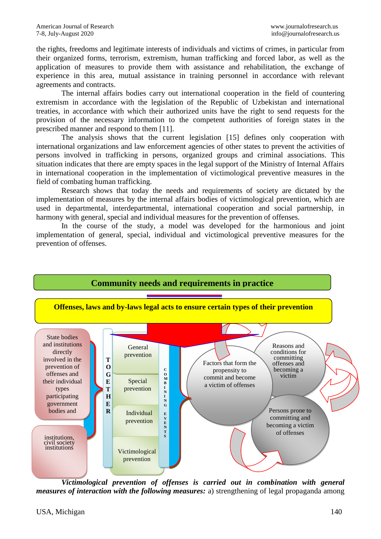the rights, freedoms and legitimate interests of individuals and victims of crimes, in particular from their organized forms, terrorism, extremism, human trafficking and forced labor, as well as the application of measures to provide them with assistance and rehabilitation, the exchange of experience in this area, mutual assistance in training personnel in accordance with relevant agreements and contracts.

The internal affairs bodies carry out international cooperation in the field of countering extremism in accordance with the legislation of the Republic of Uzbekistan and international treaties, in accordance with which their authorized units have the right to send requests for the provision of the necessary information to the competent authorities of foreign states in the prescribed manner and respond to them [11].

The analysis shows that the current legislation [15] defines only cooperation with international organizations and law enforcement agencies of other states to prevent the activities of persons involved in trafficking in persons, organized groups and criminal associations. This situation indicates that there are empty spaces in the legal support of the Ministry of Internal Affairs in international cooperation in the implementation of victimological preventive measures in the field of combating human trafficking.

Research shows that today the needs and requirements of society are dictated by the implementation of measures by the internal affairs bodies of victimological prevention, which are used in departmental, interdepartmental, international cooperation and social partnership, in harmony with general, special and individual measures for the prevention of offenses.

In the course of the study, a model was developed for the harmonious and joint implementation of general, special, individual and victimological preventive measures for the prevention of offenses.



*Victimological prevention of offenses is carried out in combination with general measures of interaction with the following measures: a)* strengthening of legal propaganda among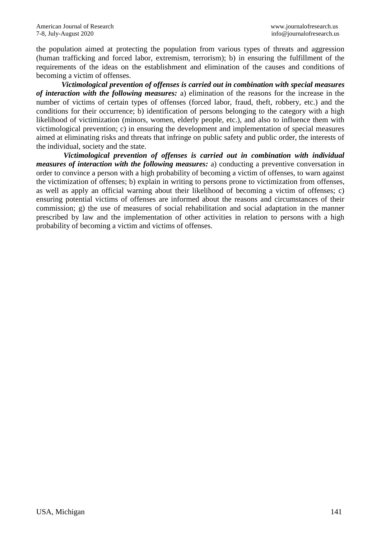the population aimed at protecting the population from various types of threats and aggression (human trafficking and forced labor, extremism, terrorism); b) in ensuring the fulfillment of the requirements of the ideas on the establishment and elimination of the causes and conditions of becoming a victim of offenses.

*Victimological prevention of offenses is carried out in combination with special measures of interaction with the following measures:* a) elimination of the reasons for the increase in the number of victims of certain types of offenses (forced labor, fraud, theft, robbery, etc.) and the conditions for their occurrence; b) identification of persons belonging to the category with a high likelihood of victimization (minors, women, elderly people, etc.), and also to influence them with victimological prevention; c) in ensuring the development and implementation of special measures aimed at eliminating risks and threats that infringe on public safety and public order, the interests of the individual, society and the state.

*Victimological prevention of offenses is carried out in combination with individual measures of interaction with the following measures:* a) conducting a preventive conversation in order to convince a person with a high probability of becoming a victim of offenses, to warn against the victimization of offenses; b) explain in writing to persons prone to victimization from offenses, as well as apply an official warning about their likelihood of becoming a victim of offenses; c) ensuring potential victims of offenses are informed about the reasons and circumstances of their commission; g) the use of measures of social rehabilitation and social adaptation in the manner prescribed by law and the implementation of other activities in relation to persons with a high probability of becoming a victim and victims of offenses.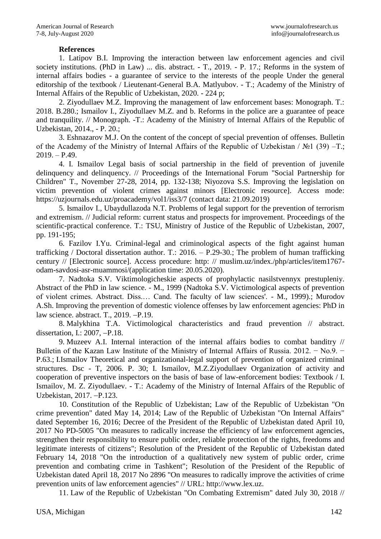## **References**

1. Latipov B.I. Improving the interaction between law enforcement agencies and civil society institutions. (PhD in Law) ... dis. abstract. - T., 2019. - P. 17.; Reforms in the system of internal affairs bodies - a guarantee of service to the interests of the people Under the general editorship of the textbook / Lieutenant-General B.A. Matlyubov. - T.; Academy of the Ministry of Internal Affairs of the Republic of Uzbekistan, 2020. - 224 p;

2. Ziyodullaev M.Z. Improving the management of law enforcement bases: Monograph. T.: 2018. B.280.; Ismailov I., Ziyodullaev M.Z. and b. Reforms in the police are a guarantee of peace and tranquility. // Monograph. -T.: Academy of the Ministry of Internal Affairs of the Republic of Uzbekistan, 2014., - P. 20.;

3. Eshnazarov M.J. On the content of the concept of special prevention of offenses. Bulletin of the Academy of the Ministry of Internal Affairs of the Republic of Uzbekistan / №1 (39) –T.;  $2019. - P.49.$ 

4. I. Ismailov Legal basis of social partnership in the field of prevention of juvenile delinquency and delinquency. // Proceedings of the International Forum "Social Partnership for Children" T., November 27-28, 2014, pp. 132-138; Niyozova S.S. Improving the legislation on victim prevention of violent crimes against minors [Electronic resource]. Access mode: https://uzjournals.edu.uz/proacademy/vol1/iss3/7 (contact data: 21.09.2019)

5. Ismailov I., Ubaydullazoda N.T. Problems of legal support for the prevention of terrorism and extremism. // Judicial reform: current status and prospects for improvement. Proceedings of the scientific-practical conference. T.: TSU, Ministry of Justice of the Republic of Uzbekistan, 2007, pp. 191-195;

6. Fazilov I.Yu. Criminal-legal and criminological aspects of the fight against human trafficking / Doctoral dissertation author. T.: 2016. – P.29-30.; The problem of human trafficking century // [Electronic source]. Access procedure: http: // muslim.uz/index./php/articles/item1767 odam-savdosi-asr-muammosi/(application time: 20.05.2020).

7. Nadtoka S.V. Viktimologicheskie aspects of prophylactic nasilstvennyx prestupleniy. Abstract of the PhD in law science. - M., 1999 (Nadtoka S.V. Victimological aspects of prevention of violent crimes. Abstract. Diss.… Cand. The faculty of law sciences'. - M., 1999).; Murodov A.Sh. Improving the prevention of domestic violence offenses by law enforcement agencies: PhD in law science. abstract. T.,  $2019. -P.19$ .

8. Malykhina T.A. Victimological characteristics and fraud prevention // abstract. dissertation, I.:  $2007, -P.18$ .

9. Muzeev A.I. Internal interaction of the internal affairs bodies to combat banditry // Bulletin of the Kazan Law Institute of the Ministry of Internal Affairs of Russia. 2012. − No.9. − P.63.; I.Ismailov Theoretical and organizational-legal support of prevention of organized criminal structures. Dsc - T, 2006. P. 30; I. Ismailov, M.Z.Ziyodullaev Organization of activity and cooperation of preventive inspectors on the basis of base of law-enforcement bodies: Textbook / I. Ismailov, M. Z. Ziyodullaev. - T.: Academy of the Ministry of Internal Affairs of the Republic of Uzbekistan, 2017. - P.123.

10. Constitution of the Republic of Uzbekistan; Law of the Republic of Uzbekistan "On crime prevention" dated May 14, 2014; Law of the Republic of Uzbekistan "On Internal Affairs" dated September 16, 2016; Decree of the President of the Republic of Uzbekistan dated April 10, 2017 No PD-5005 "On measures to radically increase the efficiency of law enforcement agencies, strengthen their responsibility to ensure public order, reliable protection of the rights, freedoms and legitimate interests of citizens"; Resolution of the President of the Republic of Uzbekistan dated February 14, 2018 "On the introduction of a qualitatively new system of public order, crime prevention and combating crime in Tashkent"; Resolution of the President of the Republic of Uzbekistan dated April 18, 2017 No 2896 "On measures to radically improve the activities of crime prevention units of law enforcement agencies" // URL: http://www.lex.uz.

11. Law of the Republic of Uzbekistan "On Combating Extremism" dated July 30, 2018 //